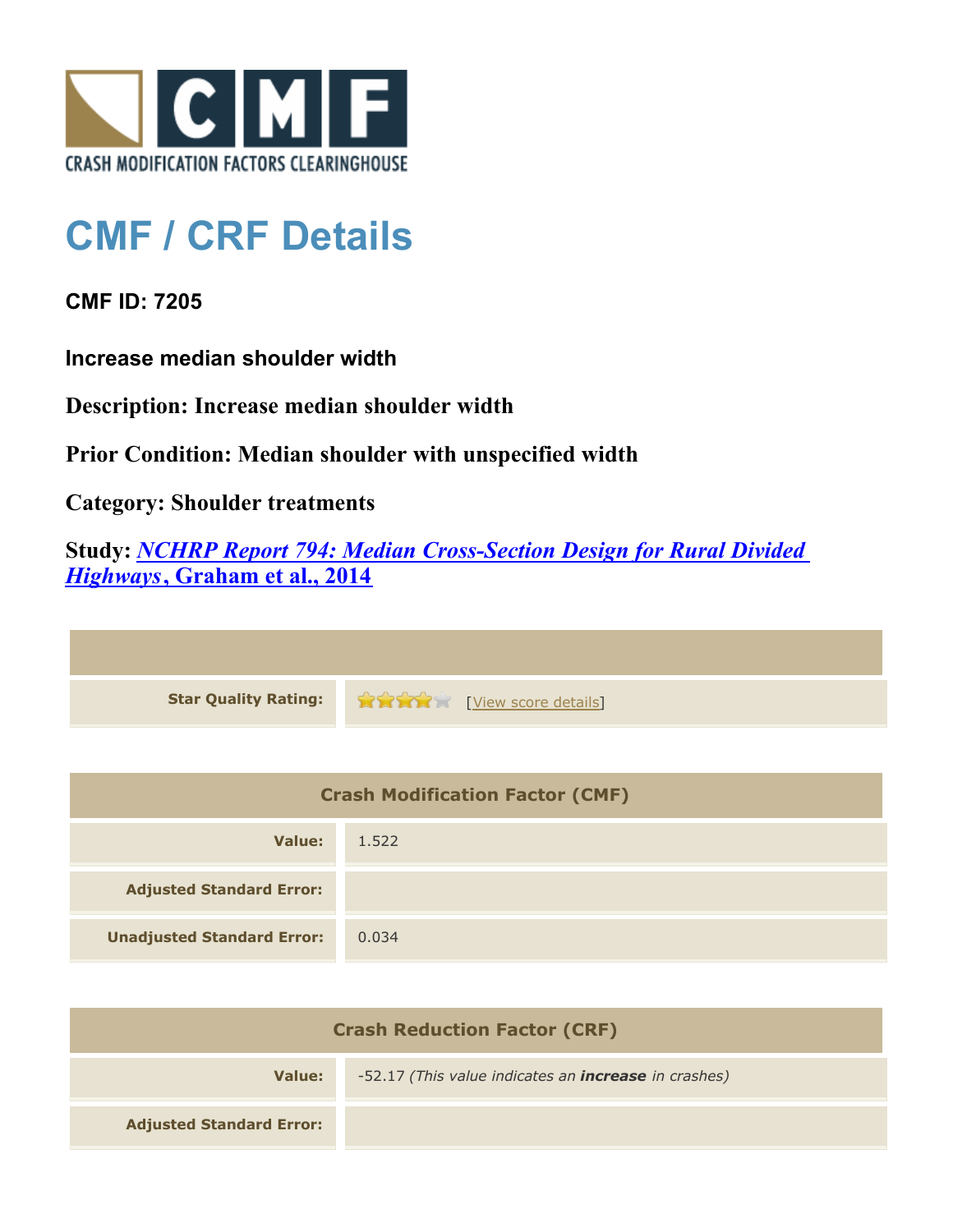

## **CMF / CRF Details**

**CMF ID: 7205**

**Increase median shoulder width**

**Description: Increase median shoulder width**

**Prior Condition: Median shoulder with unspecified width**

**Category: Shoulder treatments**

**Study:** *[NCHRP Report 794: Median Cross-Section Design for Rural Divided](http://www.cmfclearinghouse.org/study_detail.cfm?stid=420) [Highways](http://www.cmfclearinghouse.org/study_detail.cfm?stid=420)***[, Graham et al., 2014](http://www.cmfclearinghouse.org/study_detail.cfm?stid=420)**

**Star Quality Rating:**  $\bullet \bullet \bullet \bullet \bullet$  [[View score details](http://www.cmfclearinghouse.org/score_details.cfm?facid=7205)]

| <b>Crash Modification Factor (CMF)</b> |       |
|----------------------------------------|-------|
| Value:                                 | 1.522 |
| <b>Adjusted Standard Error:</b>        |       |
| <b>Unadjusted Standard Error:</b>      | 0.034 |

| <b>Crash Reduction Factor (CRF)</b> |                                                             |
|-------------------------------------|-------------------------------------------------------------|
| Value:                              | -52.17 (This value indicates an <b>increase</b> in crashes) |
| <b>Adjusted Standard Error:</b>     |                                                             |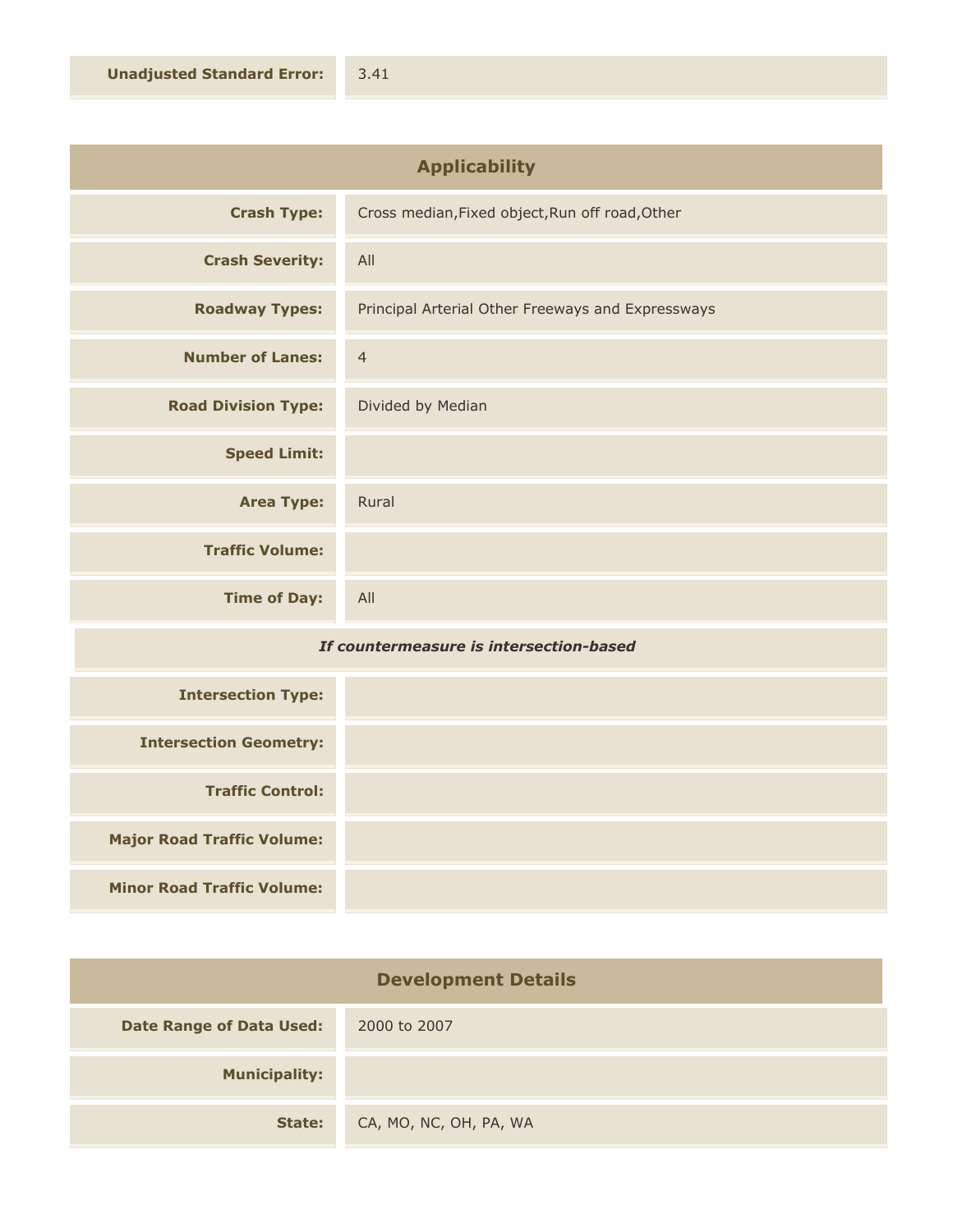| <b>Applicability</b>       |                                                   |
|----------------------------|---------------------------------------------------|
| <b>Crash Type:</b>         | Cross median, Fixed object, Run off road, Other   |
| <b>Crash Severity:</b>     | All                                               |
| <b>Roadway Types:</b>      | Principal Arterial Other Freeways and Expressways |
| <b>Number of Lanes:</b>    | $\overline{4}$                                    |
| <b>Road Division Type:</b> | Divided by Median                                 |
| <b>Speed Limit:</b>        |                                                   |
| <b>Area Type:</b>          | Rural                                             |
| <b>Traffic Volume:</b>     |                                                   |
| <b>Time of Day:</b>        | All                                               |

## *If countermeasure is intersection-based*

| <b>Intersection Type:</b>         |  |
|-----------------------------------|--|
| <b>Intersection Geometry:</b>     |  |
| <b>Traffic Control:</b>           |  |
| <b>Major Road Traffic Volume:</b> |  |
| <b>Minor Road Traffic Volume:</b> |  |

| <b>Development Details</b>      |                        |
|---------------------------------|------------------------|
| <b>Date Range of Data Used:</b> | 2000 to 2007           |
| <b>Municipality:</b>            |                        |
| State:                          | CA, MO, NC, OH, PA, WA |